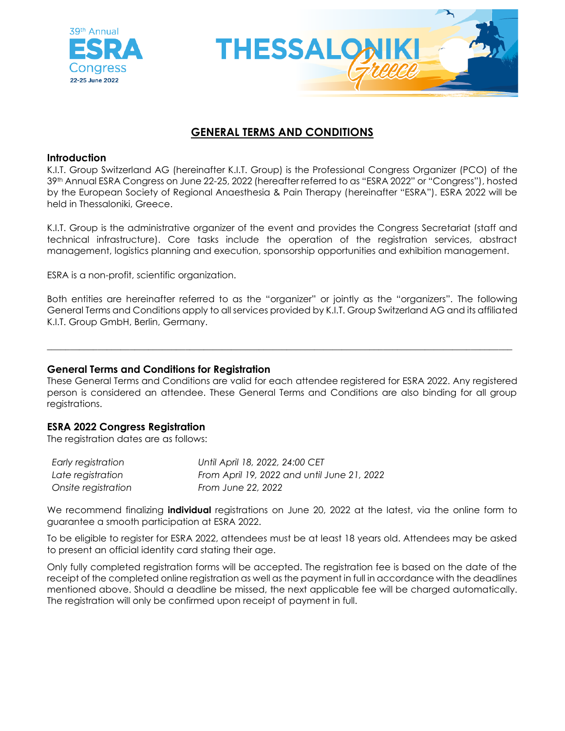



# **GENERAL TERMS AND CONDITIONS**

# **Introduction**

K.I.T. Group Switzerland AG (hereinafter K.I.T. Group) is the Professional Congress Organizer (PCO) of the 39th Annual ESRA Congress on June 22-25, 2022 (hereafter referred to as "ESRA 2022" or "Congress"), hosted by the European Society of Regional Anaesthesia & Pain Therapy (hereinafter "ESRA"). ESRA 2022 will be held in Thessaloniki, Greece.

K.I.T. Group is the administrative organizer of the event and provides the Congress Secretariat (staff and technical infrastructure). Core tasks include the operation of the registration services, abstract management, logistics planning and execution, sponsorship opportunities and exhibition management.

ESRA is a non-profit, scientific organization.

Both entities are hereinafter referred to as the "organizer" or jointly as the "organizers". The following General Terms and Conditions apply to all services provided by K.I.T. Group Switzerland AG and its affiliated K.I.T. Group GmbH, Berlin, Germany.

\_\_\_\_\_\_\_\_\_\_\_\_\_\_\_\_\_\_\_\_\_\_\_\_\_\_\_\_\_\_\_\_\_\_\_\_\_\_\_\_\_\_\_\_\_\_\_\_\_\_\_\_\_\_\_\_\_\_\_\_\_\_\_\_\_\_\_\_\_\_\_\_\_\_\_\_\_\_\_\_\_\_\_\_\_\_\_\_\_\_\_\_\_\_\_\_\_\_\_\_\_

# **General Terms and Conditions for Registration**

These General Terms and Conditions are valid for each attendee registered for ESRA 2022. Any registered person is considered an attendee. These General Terms and Conditions are also binding for all group registrations.

# **ESRA 2022 Congress Registration**

The registration dates are as follows:

| Early registration  | Until April 18, 2022, 24:00 CET             |
|---------------------|---------------------------------------------|
| Late registration   | From April 19, 2022 and until June 21, 2022 |
| Onsite registration | <b>From June 22, 2022</b>                   |

We recommend finalizing **individual** registrations on June 20, 2022 at the latest, via the online form to guarantee a smooth participation at ESRA 2022.

To be eligible to register for ESRA 2022, attendees must be at least 18 years old. Attendees may be asked to present an official identity card stating their age.

Only fully completed registration forms will be accepted. The registration fee is based on the date of the receipt of the completed online registration as well as the payment in full in accordance with the deadlines mentioned above. Should a deadline be missed, the next applicable fee will be charged automatically. The registration will only be confirmed upon receipt of payment in full.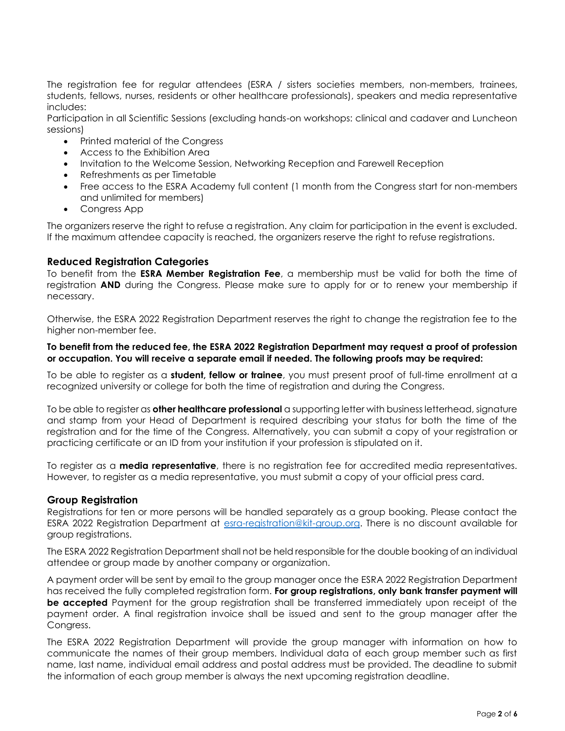The registration fee for regular attendees (ESRA / sisters societies members, non-members, trainees, students, fellows, nurses, residents or other healthcare professionals), speakers and media representative includes:

Participation in all Scientific Sessions (excluding hands-on workshops: clinical and cadaver and Luncheon sessions)

- Printed material of the Congress
- Access to the Exhibition Area
- Invitation to the Welcome Session, Networking Reception and Farewell Reception
- Refreshments as per Timetable
- Free access to the ESRA Academy full content (1 month from the Congress start for non-members and unlimited for members)
- Congress App

The organizers reserve the right to refuse a registration. Any claim for participation in the event is excluded. If the maximum attendee capacity is reached, the organizers reserve the right to refuse registrations.

# **Reduced Registration Categories**

To benefit from the **ESRA Member Registration Fee**, a membership must be valid for both the time of registration **AND** during the Congress. Please make sure to apply for or to renew your membership if necessary.

Otherwise, the ESRA 2022 Registration Department reserves the right to change the registration fee to the higher non-member fee.

### **To benefit from the reduced fee, the ESRA 2022 Registration Department may request a proof of profession or occupation. You will receive a separate email if needed. The following proofs may be required:**

To be able to register as a **student, fellow or trainee**, you must present proof of full-time enrollment at a recognized university or college for both the time of registration and during the Congress.

To be able to register as **other healthcare professional** a supporting letter with business letterhead, signature and stamp from your Head of Department is required describing your status for both the time of the registration and for the time of the Congress. Alternatively, you can submit a copy of your registration or practicing certificate or an ID from your institution if your profession is stipulated on it.

To register as a **media representative**, there is no registration fee for accredited media representatives. However, to register as a media representative, you must submit a copy of your official press card.

# **Group Registration**

Registrations for ten or more persons will be handled separately as a group booking. Please contact the ESRA 2022 Registration Department at [esra-registration@kit-group.org.](mailto:esra-registration@kit-group.org) There is no discount available for group registrations.

The ESRA 2022 Registration Department shall not be held responsible for the double booking of an individual attendee or group made by another company or organization.

A payment order will be sent by email to the group manager once the ESRA 2022 Registration Department has received the fully completed registration form. **For group registrations, only bank transfer payment will be accepted** Payment for the group registration shall be transferred immediately upon receipt of the payment order. A final registration invoice shall be issued and sent to the group manager after the Congress.

The ESRA 2022 Registration Department will provide the group manager with information on how to communicate the names of their group members. Individual data of each group member such as first name, last name, individual email address and postal address must be provided. The deadline to submit the information of each group member is always the next upcoming registration deadline.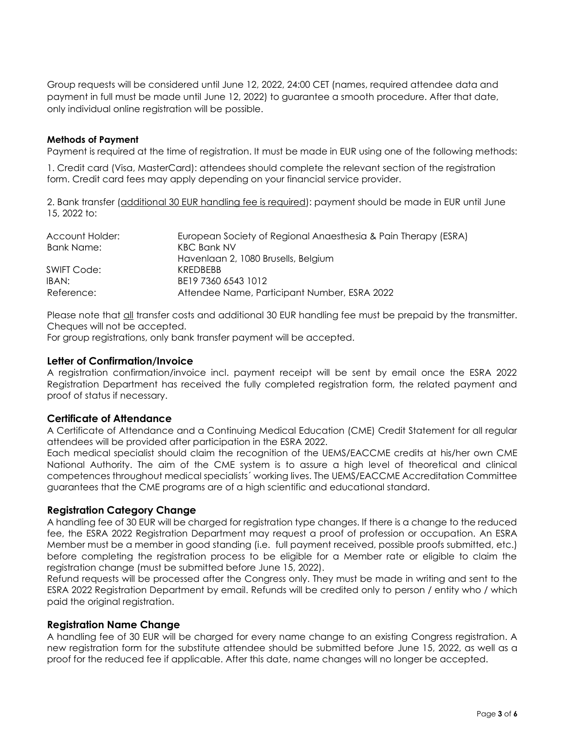Group requests will be considered until June 12, 2022, 24:00 CET (names, required attendee data and payment in full must be made until June 12, 2022) to guarantee a smooth procedure. After that date, only individual online registration will be possible.

### **Methods of Payment**

Payment is required at the time of registration. It must be made in EUR using one of the following methods:

1. Credit card (Visa, MasterCard): attendees should complete the relevant section of the registration form. Credit card fees may apply depending on your financial service provider.

2. Bank transfer (additional 30 EUR handling fee is required): payment should be made in EUR until June 15, 2022 to:

| Account Holder:   | European Society of Regional Anaesthesia & Pain Therapy (ESRA) |
|-------------------|----------------------------------------------------------------|
| <b>Bank Name:</b> | <b>KBC Bank NV</b>                                             |
|                   | Havenlaan 2, 1080 Brusells, Belgium                            |
| SWIFT Code:       | <b>KRFDBFBB</b>                                                |
| IBAN:             | BE19 7360 6543 1012                                            |
| Reference:        | Attendee Name, Participant Number, ESRA 2022                   |

Please note that all transfer costs and additional 30 EUR handling fee must be prepaid by the transmitter. Cheques will not be accepted.

For group registrations, only bank transfer payment will be accepted.

### **Letter of Confirmation/Invoice**

A registration confirmation/invoice incl. payment receipt will be sent by email once the ESRA 2022 Registration Department has received the fully completed registration form, the related payment and proof of status if necessary.

# **Certificate of Attendance**

A Certificate of Attendance and a Continuing Medical Education (CME) Credit Statement for all regular attendees will be provided after participation in the ESRA 2022.

Each medical specialist should claim the recognition of the UEMS/EACCME credits at his/her own CME National Authority. The aim of the CME system is to assure a high level of theoretical and clinical competences throughout medical specialists´ working lives. The UEMS/EACCME Accreditation Committee guarantees that the CME programs are of a high scientific and educational standard.

# **Registration Category Change**

A handling fee of 30 EUR will be charged for registration type changes. If there is a change to the reduced fee, the ESRA 2022 Registration Department may request a proof of profession or occupation. An ESRA Member must be a member in good standing (i.e. full payment received, possible proofs submitted, etc.) before completing the registration process to be eligible for a Member rate or eligible to claim the registration change (must be submitted before June 15, 2022).

Refund requests will be processed after the Congress only. They must be made in writing and sent to the ESRA 2022 Registration Department by email. Refunds will be credited only to person / entity who / which paid the original registration.

### **Registration Name Change**

A handling fee of 30 EUR will be charged for every name change to an existing Congress registration. A new registration form for the substitute attendee should be submitted before June 15, 2022, as well as a proof for the reduced fee if applicable. After this date, name changes will no longer be accepted.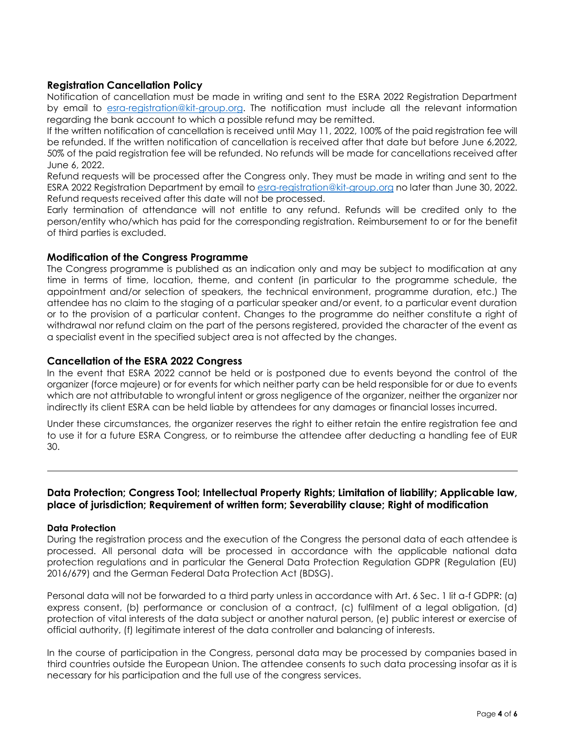# **Registration Cancellation Policy**

Notification of cancellation must be made in writing and sent to the ESRA 2022 Registration Department by email to [esra-registration@kit-group.org.](mailto:esra-registration@kit-group.org) The notification must include all the relevant information regarding the bank account to which a possible refund may be remitted.

If the written notification of cancellation is received until May 11, 2022, 100% of the paid registration fee will be refunded. If the written notification of cancellation is received after that date but before June 6,2022, 50% of the paid registration fee will be refunded. No refunds will be made for cancellations received after June 6, 2022.

Refund requests will be processed after the Congress only. They must be made in writing and sent to the ESRA 2022 Registration Department by email to [esra-registration@kit-group.org](mailto:esra-registration@kit-group.org) no later than June 30, 2022. Refund requests received after this date will not be processed.

Early termination of attendance will not entitle to any refund. Refunds will be credited only to the person/entity who/which has paid for the corresponding registration. Reimbursement to or for the benefit of third parties is excluded.

# **Modification of the Congress Programme**

The Congress programme is published as an indication only and may be subject to modification at any time in terms of time, location, theme, and content (in particular to the programme schedule, the appointment and/or selection of speakers, the technical environment, programme duration, etc.) The attendee has no claim to the staging of a particular speaker and/or event, to a particular event duration or to the provision of a particular content. Changes to the programme do neither constitute a right of withdrawal nor refund claim on the part of the persons registered, provided the character of the event as a specialist event in the specified subject area is not affected by the changes.

# **Cancellation of the ESRA 2022 Congress**

In the event that ESRA 2022 cannot be held or is postponed due to events beyond the control of the organizer (force majeure) or for events for which neither party can be held responsible for or due to events which are not attributable to wrongful intent or gross negligence of the organizer, neither the organizer nor indirectly its client ESRA can be held liable by attendees for any damages or financial losses incurred.

Under these circumstances, the organizer reserves the right to either retain the entire registration fee and to use it for a future ESRA Congress, or to reimburse the attendee after deducting a handling fee of EUR 30.

# **Data Protection; Congress Tool; Intellectual Property Rights; Limitation of liability; Applicable law, place of jurisdiction; Requirement of written form; Severability clause; Right of modification**

#### **Data Protection**

During the registration process and the execution of the Congress the personal data of each attendee is processed. All personal data will be processed in accordance with the applicable national data protection regulations and in particular the General Data Protection Regulation GDPR (Regulation (EU) 2016/679) and the German Federal Data Protection Act (BDSG).

Personal data will not be forwarded to a third party unless in accordance with Art. 6 Sec. 1 lit a-f GDPR: (a) express consent, (b) performance or conclusion of a contract, (c) fulfilment of a legal obligation, (d) protection of vital interests of the data subject or another natural person, (e) public interest or exercise of official authority, (f) legitimate interest of the data controller and balancing of interests.

In the course of participation in the Congress, personal data may be processed by companies based in third countries outside the European Union. The attendee consents to such data processing insofar as it is necessary for his participation and the full use of the congress services.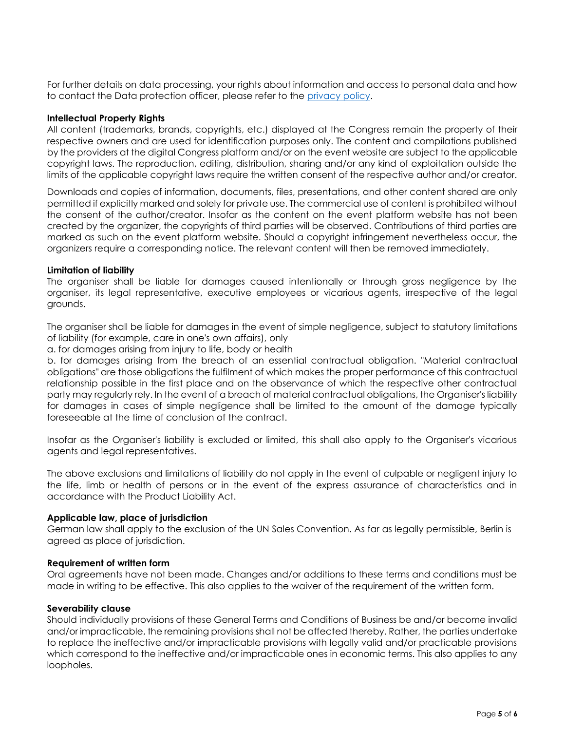For further details on data processing, your rights about information and access to personal data and how to contact the Data protection officer, please refer to the [privacy policy.](https://www.react-profile.org/upload/KIT/system/uploads/ESRA2022_Privacy%20Policy.pdf)

### **Intellectual Property Rights**

All content (trademarks, brands, copyrights, etc.) displayed at the Congress remain the property of their respective owners and are used for identification purposes only. The content and compilations published by the providers at the digital Congress platform and/or on the event website are subject to the applicable copyright laws. The reproduction, editing, distribution, sharing and/or any kind of exploitation outside the limits of the applicable copyright laws require the written consent of the respective author and/or creator.

Downloads and copies of information, documents, files, presentations, and other content shared are only permitted if explicitly marked and solely for private use. The commercial use of content is prohibited without the consent of the author/creator. Insofar as the content on the event platform website has not been created by the organizer, the copyrights of third parties will be observed. Contributions of third parties are marked as such on the event platform website. Should a copyright infringement nevertheless occur, the organizers require a corresponding notice. The relevant content will then be removed immediately.

### **Limitation of liability**

The organiser shall be liable for damages caused intentionally or through gross negligence by the organiser, its legal representative, executive employees or vicarious agents, irrespective of the legal grounds.

The organiser shall be liable for damages in the event of simple negligence, subject to statutory limitations of liability (for example, care in one's own affairs), only

a. for damages arising from injury to life, body or health

b. for damages arising from the breach of an essential contractual obligation. "Material contractual obligations" are those obligations the fulfilment of which makes the proper performance of this contractual relationship possible in the first place and on the observance of which the respective other contractual party may regularly rely. In the event of a breach of material contractual obligations, the Organiser's liability for damages in cases of simple negligence shall be limited to the amount of the damage typically foreseeable at the time of conclusion of the contract.

Insofar as the Organiser's liability is excluded or limited, this shall also apply to the Organiser's vicarious agents and legal representatives.

The above exclusions and limitations of liability do not apply in the event of culpable or negligent injury to the life, limb or health of persons or in the event of the express assurance of characteristics and in accordance with the Product Liability Act.

#### **Applicable law, place of jurisdiction**

German law shall apply to the exclusion of the UN Sales Convention. As far as legally permissible, Berlin is agreed as place of jurisdiction.

# **Requirement of written form**

Oral agreements have not been made. Changes and/or additions to these terms and conditions must be made in writing to be effective. This also applies to the waiver of the requirement of the written form.

#### **Severability clause**

Should individually provisions of these General Terms and Conditions of Business be and/or become invalid and/or impracticable, the remaining provisions shall not be affected thereby. Rather, the parties undertake to replace the ineffective and/or impracticable provisions with legally valid and/or practicable provisions which correspond to the ineffective and/or impracticable ones in economic terms. This also applies to any loopholes.